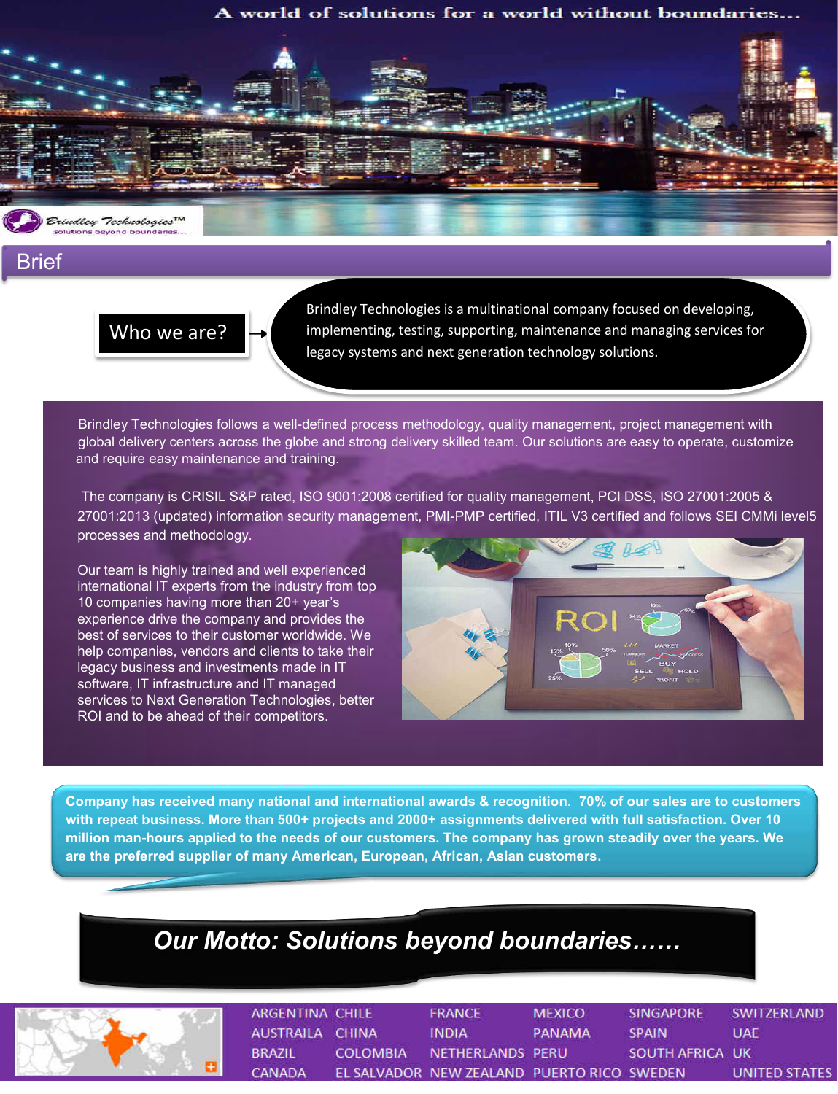## A world of solutions for a world without boundaries...



Brief

## Who we are?

*How are we Different?*

Brindley Technologies is a multinational company focused on developing, implementing, testing, supporting, maintenance and managing services for legacy systems and next generation technology solutions.

 Brindley Technologies follows a well-defined process methodology, quality management, project management with global delivery centers across the globe and strong delivery skilled team. Our solutions are easy to operate, customize and require easy maintenance and training.

 The company is CRISIL S&P rated, ISO 9001:2008 certified for quality management, PCI DSS, ISO 27001:2005 & 27001:2013 (updated) information security management, PMI-PMP certified, ITIL V3 certified and follows SEI CMMi level5 processes and methodology.

Our team is highly trained and well experienced international IT experts from the industry from top 10 companies having more than 20+ year's experience drive the company and provides the best of services to their customer worldwide. We help companies, vendors and clients to take their legacy business and investments made in IT software, IT infrastructure and IT managed services to Next Generation Technologies, better ROI and to be ahead of their competitors.



**Company has received many national and international awards & recognition. 70% of our sales are to customers with repeat business. More than 500+ projects and 2000+ assignments delivered with full satisfaction. Over 10 million man-hours applied to the needs of our customers. The company has grown steadily over the years. We are the preferred supplier of many American, European, African, Asian customers.**

## *Our Motto: Solutions beyond boundaries……*



| ARGENTINA CHILE |          | <b>FRANCE</b>                              | <b>MEXICO</b> | <b>SINGAPORE</b> | SWITZERLAND   |
|-----------------|----------|--------------------------------------------|---------------|------------------|---------------|
| AUSTRAILA CHINA |          | <b>INDIA</b>                               | PANAMA        | <b>SPAIN</b>     | UAE           |
| <b>BRAZIL</b>   | COLOMBIA | NETHERLANDS PERU                           |               | SOUTH AFRICA UK  |               |
| <b>CANADA</b>   |          | EL SALVADOR NEW ZEALAND PUERTO RICO SWEDEN |               |                  | UNITED STATES |